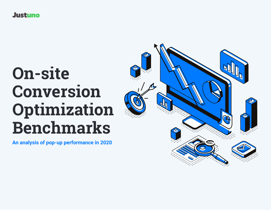**Justuno** 

# **On-site Conversion Optimization Benchmarks**

**An analysis of pop-up performance in 2020**

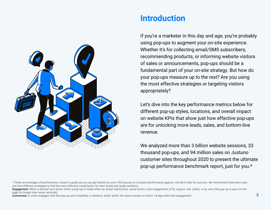

### **Introduction**

If you're a marketer in this day and age, you're probably using pop-ups to augment your on-site experience. Whether it's for collecting email/SMS subscribers, recommending products, or informing website visitors of sales or announcements, pop-ups should be a fundamental part of your on-site strategy. But how do your pop-ups measure up to the rest? Are you using the most effective strategies or targeting visitors appropriately?

Let's dive into the key performance metrics below for different pop-up styles, locations, and overall impact on website KPIs that show just how effective pop-ups are for unlocking more leads, sales, and bottom-line revenue.

We analyzed more than 3 billion website sessions, 33 thousand pop-ups, and 94 million sales on Justuno customer sites throughout 2020 to present the ultimate pop-up performance benchmark report, just for you.\*

*Conversion: A visitor engages with the pop-up and completes a checkout, either within the same session or within 14-days after last engagement.*

*<sup>\*</sup> These are averages of performance, meant to guide you as you get started on your CRO journey to compare performance against, not hard rules for success. We recommend that every website test different strategies to find the most effective combination for their brand and target audience.*

*Engagement: When a desired user action within a pop-up is made either by: email submission, social action, click engagement (CTA, coupon, link, video), or by view (the pop-up is open on the page for longer than seven seconds).*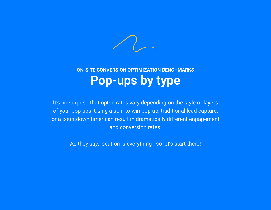

### **ON-SITE CONVERSION OPTIMIZATION BENCHMARKS Pop-ups by type**

It's no surprise that opt-in rates vary depending on the style or layers of your pop-ups. Using a spin-to-win pop-up, traditional lead capture, or a countdown timer can result in dramatically different engagement and conversion rates.

As they say, location is everything - so let's start there!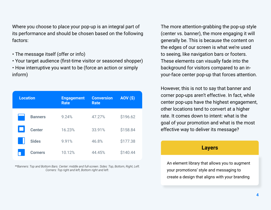Where you choose to place your pop-up is an integral part of its performance and should be chosen based on the following factors:

- The message itself (offer or info)
- Your target audience (first-time visitor or seasoned shopper)
- How interruptive you want to be (force an action or simply inform)

| <b>Location</b> |                | <b>Engagement</b><br><b>Rate</b> | <b>Conversion</b><br><b>Rate</b> | AOV(S)   |
|-----------------|----------------|----------------------------------|----------------------------------|----------|
|                 | <b>Banners</b> | 9.24%                            | 47.27%                           | \$196.62 |
|                 | <b>Center</b>  | 16.23%                           | 33.91%                           | \$158.84 |
|                 | <b>Sides</b>   | 9.91%                            | 46.8%                            | \$177.38 |
|                 | <b>Corners</b> | 10.12%                           | 44.45%                           | \$140.44 |

*\*\*Banners: Top and Bottom Bars. Center: middle and full-screen. Sides: Top, Bottom, Right, Left. Corners: Top right and left, Bottom right and left.*

The more attention-grabbing the pop-up style (center vs. banner), the more engaging it will generally be. This is because the content on the edges of our screen is what we're used to seeing, like navigation bars or footers. These elements can visually fade into the background for visitors compared to an inyour-face center pop-up that forces attention.

However, this is not to say that banner and corner pop-ups aren't effective. In fact, while center pop-ups have the highest engagement, other locations tend to convert at a higher rate. It comes down to intent: what is the goal of your promotion and what is the most effective way to deliver its message?

#### **Layers**

An element library that allows you to augment your promotions' style and messaging to create a design that aligns with your branding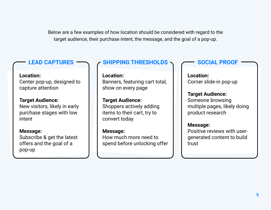Below are a few examples of how location should be considered with regard to the target audience, their purchase intent, the message, and the goal of a pop-up.

**Location:** Center pop-up, designed to capture attention

**Target Audience:** New visitors, likely in early purchase stages with low intent

**Message:** Subscribe & get the latest offers and the goal of a pop-up

#### **LEAD CAPTURES SHIPPING THRESHOLDS SUCIAL PROOF**

**Location:** Banners, featuring cart total, show on every page

**Target Audience:** Shoppers actively adding items to their cart, try to convert today

**Message:** How much more need to spend before unlocking offer

**Location:** Corner slide-in pop-up

**Target Audience:** Someone browsing multiple pages, likely doing product research

#### **Message:**

Positive reviews with usergenerated content to build trust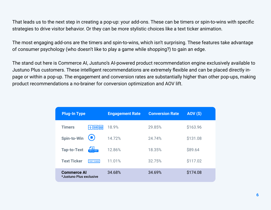That leads us to the next step in creating a pop-up: your add-ons. These can be timers or spin-to-wins with specific strategies to drive visitor behavior. Or they can be more stylistic choices like a text ticker animation.

The most engaging add-ons are the timers and spin-to-wins, which isn't surprising. These features take advantage of consumer psychology (who doesn't like to play a game while shopping?) to gain an edge.

The stand out here is Commerce AI, Justuno's AI-powered product recommendation engine exclusively available to Justuno Plus customers. These intelligent recommendations are extremely flexible and can be placed directly inpage or within a pop-up. The engagement and conversion rates are substantially higher than other pop-ups, making product recommendations a no-brainer for conversion optimization and AOV lift.

| <b>Plug-In Type</b>                           | <b>Engagement Rate</b> | <b>Conversion Rate</b> | AOV(S)   |
|-----------------------------------------------|------------------------|------------------------|----------|
| <b>Timers</b><br><del> 1   15</del>   22      | 18.9%                  | 29.85%                 | \$163.96 |
| <b>Spin-to-Win</b>                            | 14.72%                 | 24.74%                 | \$131.08 |
| '≡<br><b>Tap-to-Text</b><br>TAP-to-TEXT       | 12.86%                 | 18.35%                 | \$89.64  |
| <b>Text Ticker</b><br><b>TEXT TICKER</b>      | 11.01%                 | 32.75%                 | \$117.02 |
| <b>Commerce Al</b><br>*Justuno Plus exclusive | 34.68%                 | 34.69%                 | \$174.08 |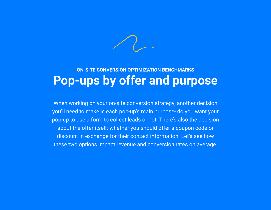

### **ON-SITE CONVERSION OPTIMIZATION BENCHMARKS Pop-ups by offer and purpose**

When working on your on-site conversion strategy, another decision you'll need to make is each pop-up's main purpose- do you want your pop-up to use a form to collect leads or not. There's also the decision about the offer itself: whether you should offer a coupon code or discount in exchange for their contact information. Let's see how these two options impact revenue and conversion rates on average.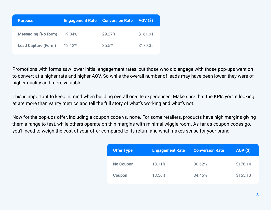| <b>Purpose</b>             | <b>Engagement Rate</b> | <b>Conversion Rate AOV (\$)</b> |          |
|----------------------------|------------------------|---------------------------------|----------|
| <b>Messaging (No form)</b> | 19.34%                 | 29.27%                          | \$161.91 |
| <b>Lead Capture (Form)</b> | 12.12%                 | 35.5%                           | \$170.35 |

Promotions with forms saw lower initial engagement rates, but those who did engage with those pop-ups went on to convert at a higher rate and higher AOV. So while the overall number of leads may have been lower, they were of higher quality and more valuable.

This is important to keep in mind when building overall on-site experiences. Make sure that the KPIs you're looking at are more than vanity metrics and tell the full story of what's working and what's not.

Now for the pop-ups offer, including a coupon code vs. none. For some retailers, products have high margins giving them a range to test, while others operate on thin margins with minimal wiggle room. As far as coupon codes go, you'll need to weigh the cost of your offer compared to its return and what makes sense for your brand.

| <b>Offer Type</b> | <b>Engagement Rate</b> | <b>Conversion Rate</b> | <b>AOV (\$)</b> |
|-------------------|------------------------|------------------------|-----------------|
| <b>No Coupon</b>  | 13.11%                 | 30.62%                 | \$176.14        |
| <b>Coupon</b>     | 18.56%                 | 34.46%                 | \$155.10        |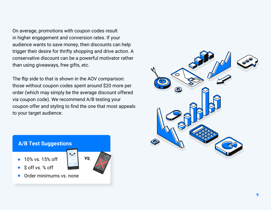On average, promotions with coupon codes result in higher engagement and conversion rates. If your audience wants to save money, then discounts can help trigger their desire for thrifty shopping and drive action. A conservative discount can be a powerful motivator rather than using giveaways, free gifts, etc.

The flip side to that is shown in the AOV comparison: those without coupon codes spent around \$20 more per order (which may simply be the average discount offered via coupon code). We recommend A/B testing your coupon offer and styling to find the one that most appeals to your target audience.



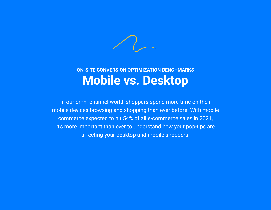

### **ON-SITE CONVERSION OPTIMIZATION BENCHMARKS Mobile vs. Desktop**

In our omni-channel world, shoppers spend more time on their mobile devices browsing and shopping than ever before. With mobile commerce expected to hit 54% of all e-commerce sales in 2021, it's more important than ever to understand how your pop-ups are affecting your desktop and mobile shoppers.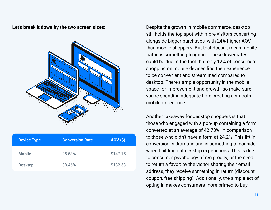

| <b>Device Type</b> | <b>Conversion Rate</b> | <b>AOV (\$)</b> |
|--------------------|------------------------|-----------------|
| <b>Mobile</b>      | 25.53%                 | \$147.15        |
| <b>Desktop</b>     | 38.46%                 | \$182.53        |

**Let's break it down by the two screen sizes:** Despite the growth in mobile commerce, desktop still holds the top spot with more visitors converting alongside bigger purchases, with 24% higher AOV than mobile shoppers. But that doesn't mean mobile traffic is something to ignore! These lower rates could be due to the fact that only 12% of consumers shopping on mobile devices find their experience to be convenient and streamlined compared to desktop. There's ample opportunity in the mobile space for improvement and growth, so make sure you're spending adequate time creating a smooth mobile experience.

> Another takeaway for desktop shoppers is that those who engaged with a pop-up containing a form converted at an average of 42.78%, in comparison to those who didn't have a form at 24.2%. This lift in conversion is dramatic and is something to consider when building out desktop experiences. This is due to consumer psychology of reciprocity, or the need to return a favor: by the visitor sharing their email address, they receive something in return (discount, coupon, free shipping). Additionally, the simple act of opting in makes consumers more primed to buy.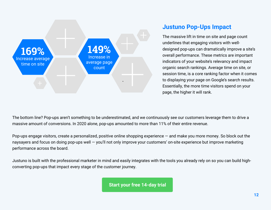

### **Justuno Pop-Ups Impact**

The massive lift in time on site and page count underlines that engaging visitors with welldesigned pop-ups can dramatically improve a site's overall performance. These metrics are important indicators of your website's relevancy and impact organic search rankings. Average time on site, or session time, is a core ranking factor when it comes to displaying your page on Google's search results. Essentially, the more time visitors spend on your page, the higher it will rank.

The bottom line? Pop-ups aren't something to be underestimated, and we continuously see our customers leverage them to drive a massive amount of conversions. In 2020 alone, pop-ups amounted to more than 11% of their entire revenue.

Pop-ups engage visitors, create a personalized, positive online shopping experience — and make you more money. So block out the naysayers and focus on doing pop-ups well — you'll not only improve your customers' on-site experience but improve marketing performance across the board.

Justuno is built with the professional marketer in mind and easily integrates with the tools you already rely on so you can build highconverting pop-ups that impact every stage of the customer journey.

**[Start your free 14-day trial](https://www.justuno.com/get-started/?utm_campaign=Benchmarks%20Guide%202020)**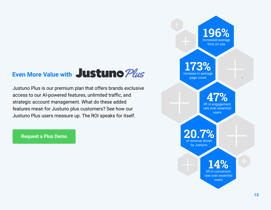## **Even More Value with JUSTUNO Plus**

Justuno Plus is our premium plan that offers brands exclusive access to our AI-powered features, unlimited traffic, and strategic account management. What do these added features mean for Justuno plus customers? See how our Justuno Plus users measure up. The ROI speaks for itself.

**[Request a Plus Demo](https://www.justuno.com/plus/?utm_campaign=Benchmarks%20Guide%202020)**